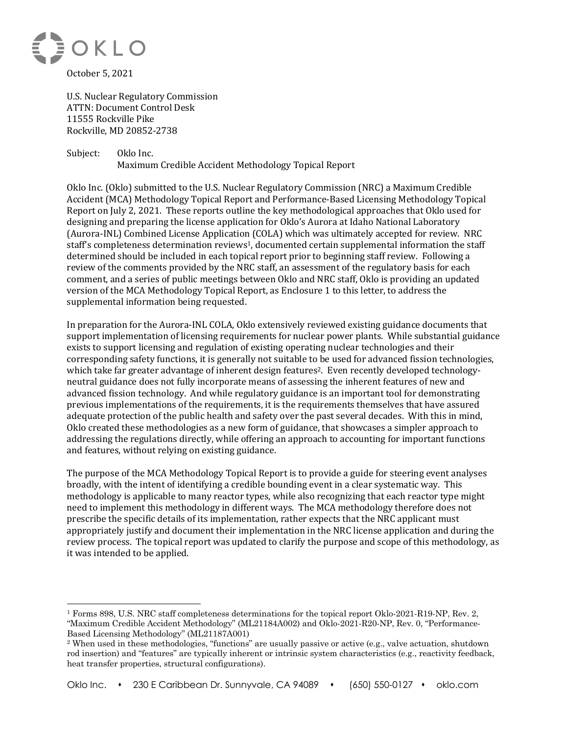

U.S. Nuclear Regulatory Commission **ATTN: Document Control Desk** 11555 Rockville Pike Rockville, MD 20852-2738

Subject: Oklo Inc. Maximum Credible Accident Methodology Topical Report

Oklo Inc. (Oklo) submitted to the U.S. Nuclear Regulatory Commission (NRC) a Maximum Credible Accident (MCA) Methodology Topical Report and Performance-Based Licensing Methodology Topical Report on July 2, 2021. These reports outline the key methodological approaches that Oklo used for designing and preparing the license application for Oklo's Aurora at Idaho National Laboratory (Aurora-INL) Combined License Application (COLA) which was ultimately accepted for review. NRC staff's completeness determination reviews<sup>1</sup>, documented certain supplemental information the staff determined should be included in each topical report prior to beginning staff review. Following a review of the comments provided by the NRC staff, an assessment of the regulatory basis for each comment, and a series of public meetings between Oklo and NRC staff, Oklo is providing an updated version of the MCA Methodology Topical Report, as Enclosure 1 to this letter, to address the supplemental information being requested.

In preparation for the Aurora-INL COLA, Oklo extensively reviewed existing guidance documents that support implementation of licensing requirements for nuclear power plants. While substantial guidance exists to support licensing and regulation of existing operating nuclear technologies and their corresponding safety functions, it is generally not suitable to be used for advanced fission technologies, which take far greater advantage of inherent design features<sup>2</sup>. Even recently developed technologyneutral guidance does not fully incorporate means of assessing the inherent features of new and advanced fission technology. And while regulatory guidance is an important tool for demonstrating previous implementations of the requirements, it is the requirements themselves that have assured adequate protection of the public health and safety over the past several decades. With this in mind, Oklo created these methodologies as a new form of guidance, that showcases a simpler approach to addressing the regulations directly, while offering an approach to accounting for important functions and features, without relying on existing guidance.

The purpose of the MCA Methodology Topical Report is to provide a guide for steering event analyses broadly, with the intent of identifying a credible bounding event in a clear systematic way. This methodology is applicable to many reactor types, while also recognizing that each reactor type might need to implement this methodology in different ways. The MCA methodology therefore does not prescribe the specific details of its implementation, rather expects that the NRC applicant must appropriately justify and document their implementation in the NRC license application and during the review process. The topical report was updated to clarify the purpose and scope of this methodology, as it was intended to be applied.

<sup>1</sup> Forms 898, U.S. NRC staff completeness determinations for the topical report Oklo-2021-R19-NP, Rev. 2, "Maximum Credible Accident Methodology" (ML21184A002) and Oklo-2021-R20-NP, Rev. 0, "Performance-Based Licensing Methodology" (ML21187A001)

<sup>2</sup> When used in these methodologies, "functions" are usually passive or active (e.g., valve actuation, shutdown rod insertion) and "features" are typically inherent or intrinsic system characteristics (e.g., reactivity feedback, heat transfer properties, structural configurations).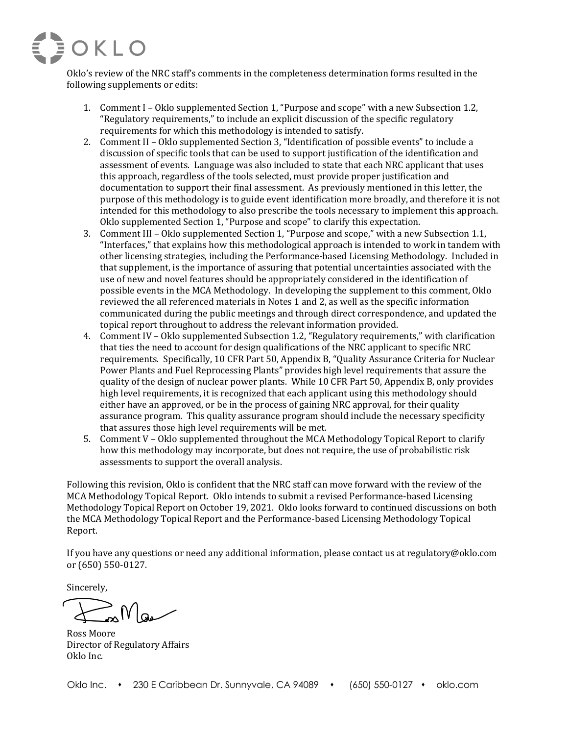

Oklo's review of the NRC staff's comments in the completeness determination forms resulted in the following supplements or edits:

- 1. Comment I Oklo supplemented Section 1, "Purpose and scope" with a new Subsection 1.2, "Regulatory requirements," to include an explicit discussion of the specific regulatory requirements for which this methodology is intended to satisfy.
- 2. Comment II Oklo supplemented Section 3, "Identification of possible events" to include a discussion of specific tools that can be used to support justification of the identification and assessment of events. Language was also included to state that each NRC applicant that uses this approach, regardless of the tools selected, must provide proper justification and documentation to support their final assessment. As previously mentioned in this letter, the purpose of this methodology is to guide event identification more broadly, and therefore it is not intended for this methodology to also prescribe the tools necessary to implement this approach. Oklo supplemented Section 1, "Purpose and scope" to clarify this expectation.
- 3. Comment III Oklo supplemented Section 1, "Purpose and scope," with a new Subsection 1.1, "Interfaces," that explains how this methodological approach is intended to work in tandem with other licensing strategies, including the Performance-based Licensing Methodology. Included in that supplement, is the importance of assuring that potential uncertainties associated with the use of new and novel features should be appropriately considered in the identification of possible events in the MCA Methodology. In developing the supplement to this comment, Oklo reviewed the all referenced materials in Notes 1 and 2, as well as the specific information communicated during the public meetings and through direct correspondence, and updated the topical report throughout to address the relevant information provided.
- 4. Comment IV Oklo supplemented Subsection 1.2, "Regulatory requirements," with clarification that ties the need to account for design qualifications of the NRC applicant to specific NRC requirements. Specifically, 10 CFR Part 50, Appendix B, "Quality Assurance Criteria for Nuclear Power Plants and Fuel Reprocessing Plants" provides high level requirements that assure the quality of the design of nuclear power plants. While 10 CFR Part 50, Appendix B, only provides high level requirements, it is recognized that each applicant using this methodology should either have an approved, or be in the process of gaining NRC approval, for their quality assurance program. This quality assurance program should include the necessary specificity that assures those high level requirements will be met.
- 5. Comment  $V 0$ klo supplemented throughout the MCA Methodology Topical Report to clarify how this methodology may incorporate, but does not require, the use of probabilistic risk assessments to support the overall analysis.

Following this revision, Oklo is confident that the NRC staff can move forward with the review of the MCA Methodology Topical Report. Oklo intends to submit a revised Performance-based Licensing Methodology Topical Report on October 19, 2021. Oklo looks forward to continued discussions on both the MCA Methodology Topical Report and the Performance-based Licensing Methodology Topical Report.

If you have any questions or need any additional information, please contact us at regulatory@oklo.com or (650) 550-0127.

Sincerely,

 $\sim$   $N_{\text{av}}$ 

Ross Moore Director of Regulatory Affairs Oklo Inc.